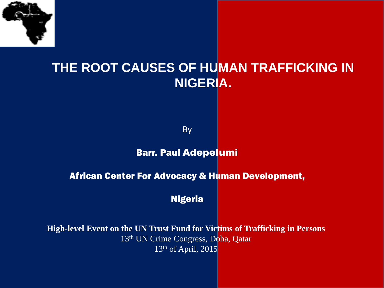

#### **THE ROOT CAUSES OF HUMAN TRAFFICKING IN NIGERIA.**

By

#### Barr. Paul Adepelumi

#### African Center For Advocacy & Human Development,

Nigeria

**High-level Event on the UN Trust Fund for Victims of Trafficking in Persons** 13th UN Crime Congress, Doha, Qatar 13th of April, 2015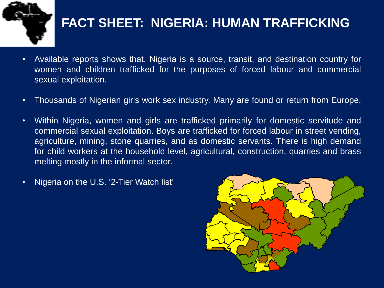

### **FACT SHEET: NIGERIA: HUMAN TRAFFICKING**

- Available reports shows that, Nigeria is a source, transit, and destination country for women and children trafficked for the purposes of forced labour and commercial sexual exploitation.
- Thousands of Nigerian girls work sex industry. Many are found or return from Europe.
- Within Nigeria, women and girls are trafficked primarily for domestic servitude and commercial sexual exploitation. Boys are trafficked for forced labour in street vending, agriculture, mining, stone quarries, and as domestic servants. There is high demand for child workers at the household level, agricultural, construction, quarries and brass melting mostly in the informal sector.
- Nigeria on the U.S. '2-Tier Watch list'

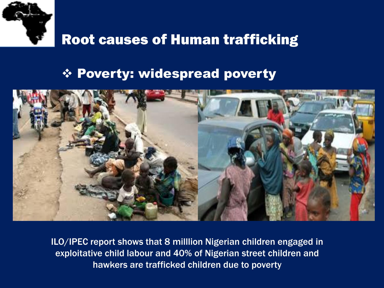

#### Poverty: widespread poverty



ILO/IPEC report shows that 8 milllion Nigerian children engaged in exploitative child labour and 40% of Nigerian street children and hawkers are trafficked children due to poverty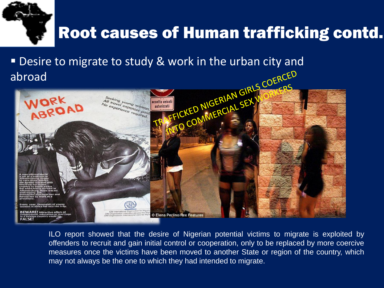

abroad



ILO report showed that the desire of Nigerian potential victims to migrate is exploited by offenders to recruit and gain initial control or cooperation, only to be replaced by more coercive measures once the victims have been moved to another State or region of the country, which may not always be the one to which they had intended to migrate.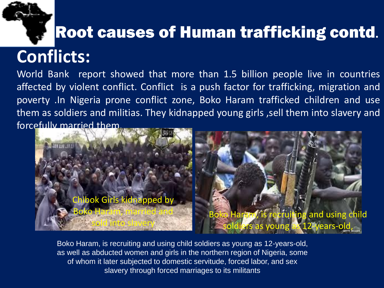

# **Conflicts:**

World Bank report showed that more than 1.5 billion people live in countries affected by violent conflict. Conflict is a push factor for trafficking, migration and poverty .In Nigeria prone conflict zone, Boko Haram trafficked children and use them as soldiers and militias. They kidnapped young girls ,sell them into slavery and forcefully married them.



Boko Haram, is recruiting and using child soldiers as young as 12-years-old, as well as abducted women and girls in the northern region of Nigeria, some of whom it later subjected to domestic servitude, forced labor, and sex slavery through forced marriages to its militants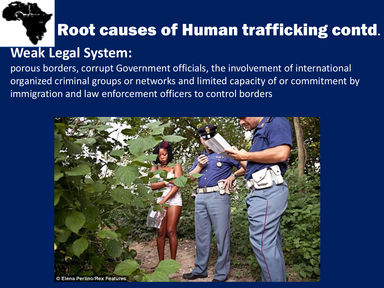

### **Weak Legal System:**

porous borders, corrupt Government officials, the involvement of international organized criminal groups or networks and limited capacity of or commitment by immigration and law enforcement officers to control borders

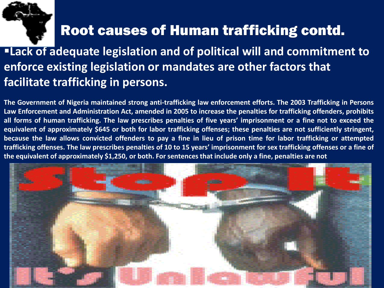

### **Lack of adequate legislation and of political will and commitment to enforce existing legislation or mandates are other factors that facilitate trafficking in persons.**

**The Government of Nigeria maintained strong anti-trafficking law enforcement efforts. The 2003 Trafficking in Persons** Law Enforcement and Administration Act, amended in 2005 to increase the penalties for trafficking offenders, prohibits all forms of human trafficking. The law prescribes penalties of five years' imprisonment or a fine not to exceed the equivalent of approximately \$645 or both for labor trafficking offenses; these penalties are not sufficiently stringent, because the law allows convicted offenders to pay a fine in lieu of prison time for labor trafficking or attempted trafficking offenses. The law prescribes penalties of 10 to 15 years' imprisonment for sex trafficking offenses or a fine of the equivalent of approximately \$1,250, or both. For sentences that include only a fine, penalties are not

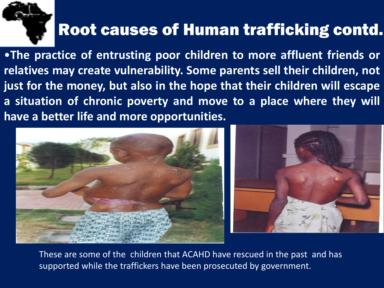

•**The practice of entrusting poor children to more affluent friends or relatives may create vulnerability. Some parents sell their children, not just for the money, but also in the hope that their children will escape a situation of chronic poverty and move to a place where they will have a better life and more opportunities.**



These are some of the children that ACAHD have rescued in the past and has supported while the traffickers have been prosecuted by government.